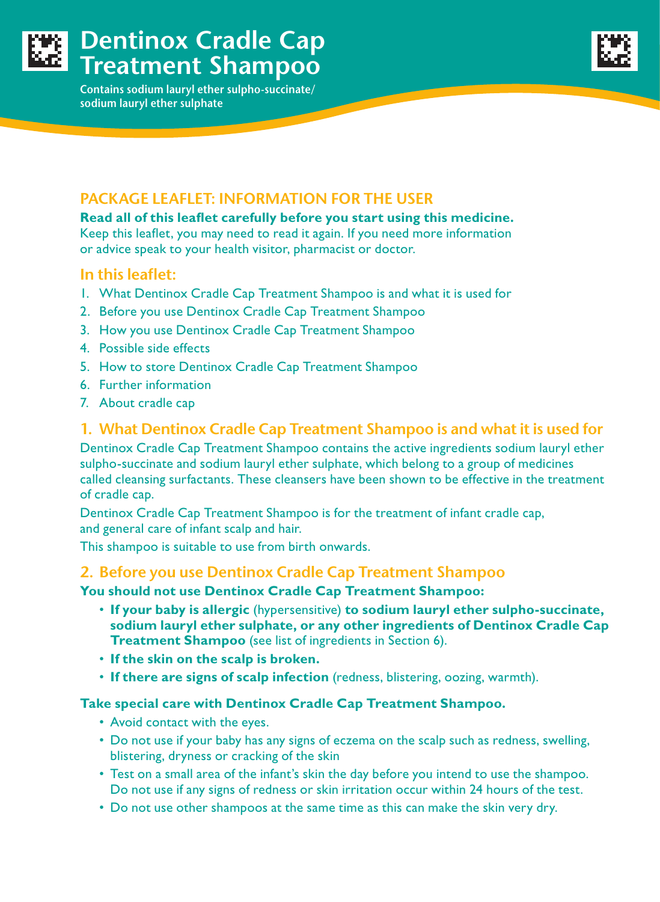

# **Dentinox Cradle Cap Treatment Shampoo**

**Contains sodium lauryl ether sulpho-succinate/ sodium lauryl ether sulphate** 



## **PACKAGE LEAFLET: INFORMATION FOR THE USER**

**Read all of this leaflet carefully before you start using this medicine.** Keep this leaflet, you may need to read it again. If you need more information or advice speak to your health visitor, pharmacist or doctor.

#### **In this leaflet:**

- 1. What Dentinox Cradle Cap Treatment Shampoo is and what it is used for
- 2. Before you use Dentinox Cradle Cap Treatment Shampoo
- 3. How you use Dentinox Cradle Cap Treatment Shampoo
- 4. Possible side effects
- 5. How to store Dentinox Cradle Cap Treatment Shampoo
- 6. Further information
- 7. About cradle cap

### **1. What Dentinox Cradle Cap Treatment Shampoo is and what it is used for**

Dentinox Cradle Cap Treatment Shampoo contains the active ingredients sodium lauryl ether sulpho-succinate and sodium lauryl ether sulphate, which belong to a group of medicines called cleansing surfactants. These cleansers have been shown to be effective in the treatment of cradle cap.

Dentinox Cradle Cap Treatment Shampoo is for the treatment of infant cradle cap, and general care of infant scalp and hair.

This shampoo is suitable to use from birth onwards.

### **2. Before you use Dentinox Cradle Cap Treatment Shampoo**

**You should not use Dentinox Cradle Cap Treatment Shampoo:**

- **If your baby is allergic** (hypersensitive) **to sodium lauryl ether sulpho-succinate, sodium lauryl ether sulphate, or any other ingredients of Dentinox Cradle Cap Treatment Shampoo** (see list of ingredients in Section 6).
- **If the skin on the scalp is broken.**
- **If there are signs of scalp infection** (redness, blistering, oozing, warmth).

#### **Take special care with Dentinox Cradle Cap Treatment Shampoo.**

- Avoid contact with the eyes.
- Do not use if your baby has any signs of eczema on the scalp such as redness, swelling, blistering, dryness or cracking of the skin
- Test on a small area of the infant's skin the day before you intend to use the shampoo. Do not use if any signs of redness or skin irritation occur within 24 hours of the test.
- Do not use other shampoos at the same time as this can make the skin very dry.